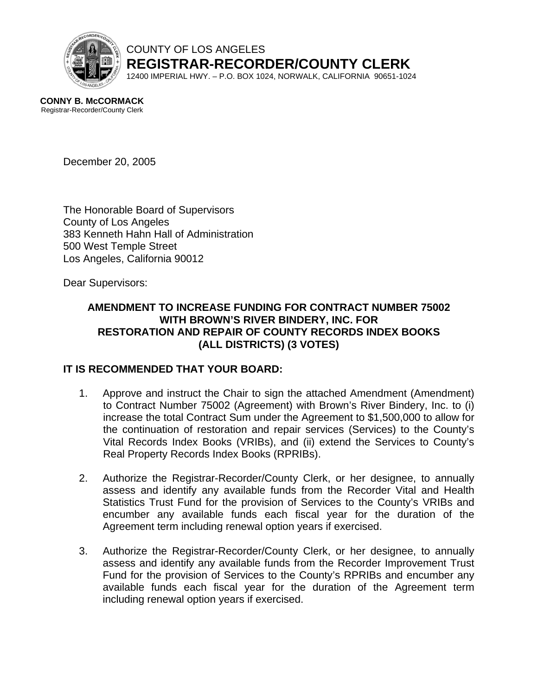

COUNTY OF LOS ANGELES **REGISTRAR-RECORDER/COUNTY CLERK**

12400 IMPERIAL HWY. – P.O. BOX 1024, NORWALK, CALIFORNIA 90651-1024

**CONNY B. McCORMACK** Registrar-Recorder/County Clerk

December 20, 2005

The Honorable Board of Supervisors County of Los Angeles 383 Kenneth Hahn Hall of Administration 500 West Temple Street Los Angeles, California 90012

Dear Supervisors:

## **AMENDMENT TO INCREASE FUNDING FOR CONTRACT NUMBER 75002 WITH BROWN'S RIVER BINDERY, INC. FOR RESTORATION AND REPAIR OF COUNTY RECORDS INDEX BOOKS (ALL DISTRICTS) (3 VOTES)**

# **IT IS RECOMMENDED THAT YOUR BOARD:**

- 1. Approve and instruct the Chair to sign the attached Amendment (Amendment) to Contract Number 75002 (Agreement) with Brown's River Bindery, Inc. to (i) increase the total Contract Sum under the Agreement to \$1,500,000 to allow for the continuation of restoration and repair services (Services) to the County's Vital Records Index Books (VRIBs), and (ii) extend the Services to County's Real Property Records Index Books (RPRIBs).
- 2. Authorize the Registrar-Recorder/County Clerk, or her designee, to annually assess and identify any available funds from the Recorder Vital and Health Statistics Trust Fund for the provision of Services to the County's VRIBs and encumber any available funds each fiscal year for the duration of the Agreement term including renewal option years if exercised.
- 3. Authorize the Registrar-Recorder/County Clerk, or her designee, to annually assess and identify any available funds from the Recorder Improvement Trust Fund for the provision of Services to the County's RPRIBs and encumber any available funds each fiscal year for the duration of the Agreement term including renewal option years if exercised.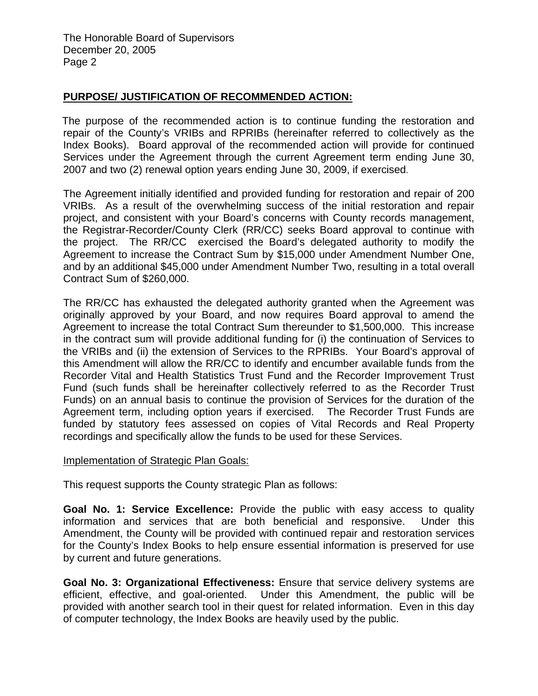### **PURPOSE/ JUSTIFICATION OF RECOMMENDED ACTION:**

 The purpose of the recommended action is to continue funding the restoration and repair of the County's VRIBs and RPRIBs (hereinafter referred to collectively as the Index Books). Board approval of the recommended action will provide for continued Services under the Agreement through the current Agreement term ending June 30, 2007 and two (2) renewal option years ending June 30, 2009, if exercised.

The Agreement initially identified and provided funding for restoration and repair of 200 VRIBs. As a result of the overwhelming success of the initial restoration and repair project, and consistent with your Board's concerns with County records management, the Registrar-Recorder/County Clerk (RR/CC) seeks Board approval to continue with the project. The RR/CC exercised the Board's delegated authority to modify the Agreement to increase the Contract Sum by \$15,000 under Amendment Number One, and by an additional \$45,000 under Amendment Number Two, resulting in a total overall Contract Sum of \$260,000.

The RR/CC has exhausted the delegated authority granted when the Agreement was originally approved by your Board, and now requires Board approval to amend the Agreement to increase the total Contract Sum thereunder to \$1,500,000. This increase in the contract sum will provide additional funding for (i) the continuation of Services to the VRIBs and (ii) the extension of Services to the RPRIBs. Your Board's approval of this Amendment will allow the RR/CC to identify and encumber available funds from the Recorder Vital and Health Statistics Trust Fund and the Recorder Improvement Trust Fund (such funds shall be hereinafter collectively referred to as the Recorder Trust Funds) on an annual basis to continue the provision of Services for the duration of the Agreement term, including option years if exercised. The Recorder Trust Funds are funded by statutory fees assessed on copies of Vital Records and Real Property recordings and specifically allow the funds to be used for these Services.

#### Implementation of Strategic Plan Goals:

This request supports the County strategic Plan as follows:

**Goal No. 1: Service Excellence:** Provide the public with easy access to quality information and services that are both beneficial and responsive. Under this Amendment, the County will be provided with continued repair and restoration services for the County's Index Books to help ensure essential information is preserved for use by current and future generations.

**Goal No. 3: Organizational Effectiveness:** Ensure that service delivery systems are efficient, effective, and goal-oriented. Under this Amendment, the public will be provided with another search tool in their quest for related information. Even in this day of computer technology, the Index Books are heavily used by the public.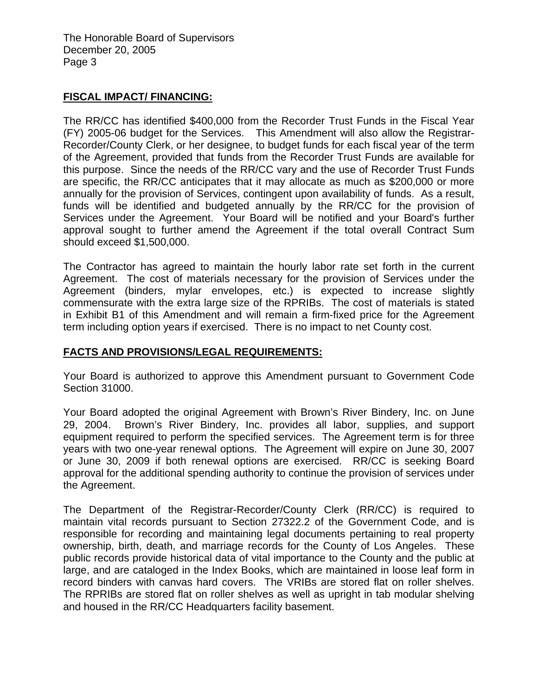The Honorable Board of Supervisors December 20, 2005 Page 3

### **FISCAL IMPACT/ FINANCING:**

The RR/CC has identified \$400,000 from the Recorder Trust Funds in the Fiscal Year (FY) 2005-06 budget for the Services. This Amendment will also allow the Registrar-Recorder/County Clerk, or her designee, to budget funds for each fiscal year of the term of the Agreement, provided that funds from the Recorder Trust Funds are available for this purpose. Since the needs of the RR/CC vary and the use of Recorder Trust Funds are specific, the RR/CC anticipates that it may allocate as much as \$200,000 or more annually for the provision of Services, contingent upon availability of funds. As a result, funds will be identified and budgeted annually by the RR/CC for the provision of Services under the Agreement. Your Board will be notified and your Board's further approval sought to further amend the Agreement if the total overall Contract Sum should exceed \$1,500,000.

The Contractor has agreed to maintain the hourly labor rate set forth in the current Agreement. The cost of materials necessary for the provision of Services under the Agreement (binders, mylar envelopes, etc.) is expected to increase slightly commensurate with the extra large size of the RPRIBs. The cost of materials is stated in Exhibit B1 of this Amendment and will remain a firm-fixed price for the Agreement term including option years if exercised. There is no impact to net County cost.

### **FACTS AND PROVISIONS/LEGAL REQUIREMENTS:**

Your Board is authorized to approve this Amendment pursuant to Government Code Section 31000.

Your Board adopted the original Agreement with Brown's River Bindery, Inc. on June 29, 2004. Brown's River Bindery, Inc. provides all labor, supplies, and support equipment required to perform the specified services. The Agreement term is for three years with two one-year renewal options. The Agreement will expire on June 30, 2007 or June 30, 2009 if both renewal options are exercised. RR/CC is seeking Board approval for the additional spending authority to continue the provision of services under the Agreement.

The Department of the Registrar-Recorder/County Clerk (RR/CC) is required to maintain vital records pursuant to Section 27322.2 of the Government Code, and is responsible for recording and maintaining legal documents pertaining to real property ownership, birth, death, and marriage records for the County of Los Angeles. These public records provide historical data of vital importance to the County and the public at large, and are cataloged in the Index Books, which are maintained in loose leaf form in record binders with canvas hard covers. The VRIBs are stored flat on roller shelves. The RPRIBs are stored flat on roller shelves as well as upright in tab modular shelving and housed in the RR/CC Headquarters facility basement.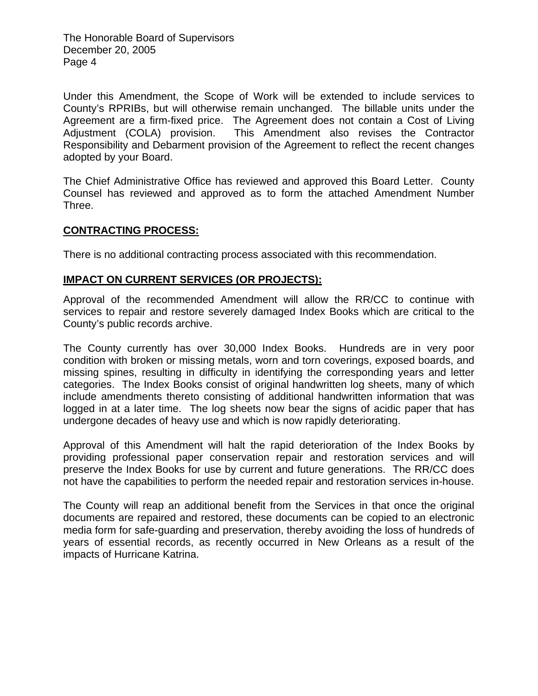The Honorable Board of Supervisors December 20, 2005 Page 4

Under this Amendment, the Scope of Work will be extended to include services to County's RPRIBs, but will otherwise remain unchanged. The billable units under the Agreement are a firm-fixed price. The Agreement does not contain a Cost of Living Adjustment (COLA) provision. This Amendment also revises the Contractor Responsibility and Debarment provision of the Agreement to reflect the recent changes adopted by your Board.

The Chief Administrative Office has reviewed and approved this Board Letter. County Counsel has reviewed and approved as to form the attached Amendment Number Three.

### **CONTRACTING PROCESS:**

There is no additional contracting process associated with this recommendation.

### **IMPACT ON CURRENT SERVICES (OR PROJECTS):**

Approval of the recommended Amendment will allow the RR/CC to continue with services to repair and restore severely damaged Index Books which are critical to the County's public records archive.

The County currently has over 30,000 Index Books. Hundreds are in very poor condition with broken or missing metals, worn and torn coverings, exposed boards, and missing spines, resulting in difficulty in identifying the corresponding years and letter categories. The Index Books consist of original handwritten log sheets, many of which include amendments thereto consisting of additional handwritten information that was logged in at a later time. The log sheets now bear the signs of acidic paper that has undergone decades of heavy use and which is now rapidly deteriorating.

Approval of this Amendment will halt the rapid deterioration of the Index Books by providing professional paper conservation repair and restoration services and will preserve the Index Books for use by current and future generations. The RR/CC does not have the capabilities to perform the needed repair and restoration services in-house.

The County will reap an additional benefit from the Services in that once the original documents are repaired and restored, these documents can be copied to an electronic media form for safe-guarding and preservation, thereby avoiding the loss of hundreds of years of essential records, as recently occurred in New Orleans as a result of the impacts of Hurricane Katrina.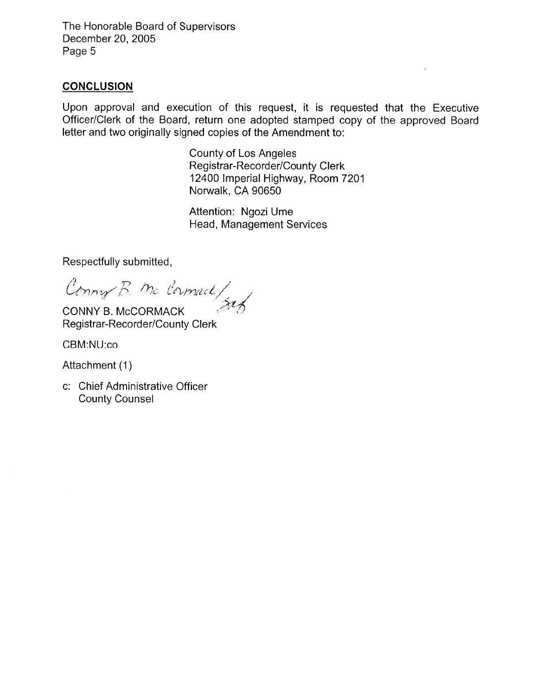The Honorable Board of Supervisors December 20, 2005 Page 5

### **CONCLUSION**

Upon approval and execution of this request, it is requested that the Executive Officer/Clerk of the Board, return one adopted stamped copy of the approved Board letter and two originally signed copies of the Amendment to:

> County of Los Angeles Registrar-Recorder/County Clerk 12400 Imperial Highway, Room 7201 Norwalk, CA 90650

Attention: Ngozi Ume Head, Management Services

Respectfully submitted,

Conny B. Mc Cornact/

CONNY B. McCORMACK Registrar-Recorder/County Clerk

CBM:NU:co

Attachment (1)

c: Chief Administrative Officer **County Counsel**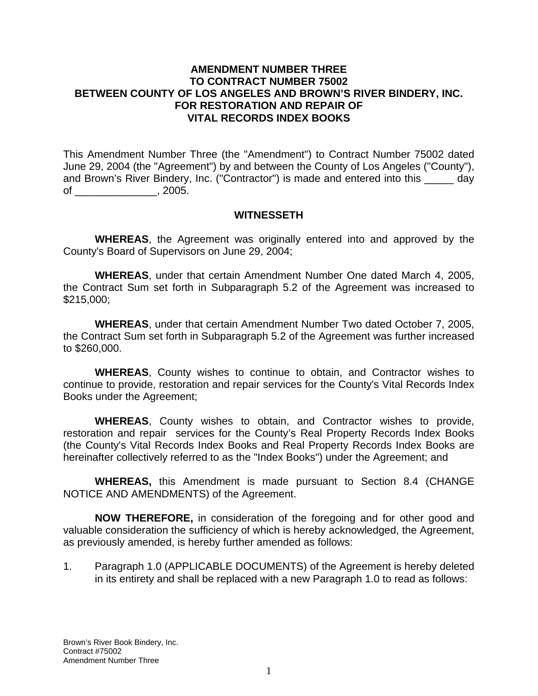#### **AMENDMENT NUMBER THREE TO CONTRACT NUMBER 75002 BETWEEN COUNTY OF LOS ANGELES AND BROWN'S RIVER BINDERY, INC. FOR RESTORATION AND REPAIR OF VITAL RECORDS INDEX BOOKS**

This Amendment Number Three (the "Amendment") to Contract Number 75002 dated June 29, 2004 (the "Agreement") by and between the County of Los Angeles ("County"), and Brown's River Bindery, Inc. ("Contractor") is made and entered into this \_\_\_\_\_ day of \_\_\_\_\_\_\_\_\_\_\_\_\_\_, 2005.

### **WITNESSETH**

**WHEREAS**, the Agreement was originally entered into and approved by the County's Board of Supervisors on June 29, 2004;

**WHEREAS**, under that certain Amendment Number One dated March 4, 2005, the Contract Sum set forth in Subparagraph 5.2 of the Agreement was increased to \$215,000;

**WHEREAS**, under that certain Amendment Number Two dated October 7, 2005, the Contract Sum set forth in Subparagraph 5.2 of the Agreement was further increased to \$260,000.

**WHEREAS**, County wishes to continue to obtain, and Contractor wishes to continue to provide, restoration and repair services for the County's Vital Records Index Books under the Agreement;

**WHEREAS**, County wishes to obtain, and Contractor wishes to provide, restoration and repair services for the County's Real Property Records Index Books (the County's Vital Records Index Books and Real Property Records Index Books are hereinafter collectively referred to as the "Index Books") under the Agreement; and

**WHEREAS,** this Amendment is made pursuant to Section 8.4 (CHANGE NOTICE AND AMENDMENTS) of the Agreement.

**NOW THEREFORE,** in consideration of the foregoing and for other good and valuable consideration the sufficiency of which is hereby acknowledged, the Agreement, as previously amended, is hereby further amended as follows:

1. Paragraph 1.0 (APPLICABLE DOCUMENTS) of the Agreement is hereby deleted in its entirety and shall be replaced with a new Paragraph 1.0 to read as follows: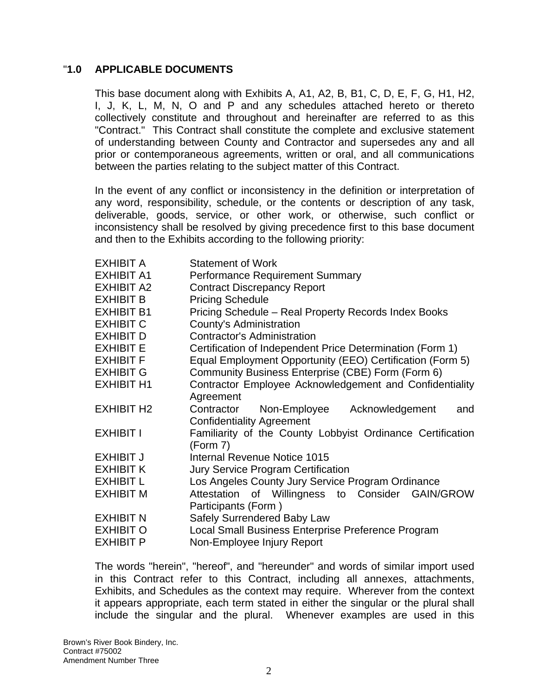### "**1.0 APPLICABLE DOCUMENTS**

This base document along with Exhibits A, A1, A2, B, B1, C, D, E, F, G, H1, H2, I, J, K, L, M, N, O and P and any schedules attached hereto or thereto collectively constitute and throughout and hereinafter are referred to as this "Contract." This Contract shall constitute the complete and exclusive statement of understanding between County and Contractor and supersedes any and all prior or contemporaneous agreements, written or oral, and all communications between the parties relating to the subject matter of this Contract.

In the event of any conflict or inconsistency in the definition or interpretation of any word, responsibility, schedule, or the contents or description of any task, deliverable, goods, service, or other work, or otherwise, such conflict or inconsistency shall be resolved by giving precedence first to this base document and then to the Exhibits according to the following priority:

| <b>EXHIBIT A</b>  | <b>Statement of Work</b>                                   |  |  |  |
|-------------------|------------------------------------------------------------|--|--|--|
| <b>EXHIBIT A1</b> | <b>Performance Requirement Summary</b>                     |  |  |  |
| <b>EXHIBIT A2</b> | <b>Contract Discrepancy Report</b>                         |  |  |  |
| <b>EXHIBIT B</b>  | <b>Pricing Schedule</b>                                    |  |  |  |
| <b>EXHIBIT B1</b> | Pricing Schedule - Real Property Records Index Books       |  |  |  |
| <b>EXHIBIT C</b>  | County's Administration                                    |  |  |  |
| <b>EXHIBIT D</b>  | <b>Contractor's Administration</b>                         |  |  |  |
| <b>EXHIBIT E</b>  | Certification of Independent Price Determination (Form 1)  |  |  |  |
| <b>EXHIBIT F</b>  | Equal Employment Opportunity (EEO) Certification (Form 5)  |  |  |  |
| <b>EXHIBIT G</b>  | Community Business Enterprise (CBE) Form (Form 6)          |  |  |  |
| <b>EXHIBIT H1</b> | Contractor Employee Acknowledgement and Confidentiality    |  |  |  |
|                   | Agreement                                                  |  |  |  |
| <b>EXHIBIT H2</b> | Contractor<br>Non-Employee Acknowledgement<br>and          |  |  |  |
|                   | <b>Confidentiality Agreement</b>                           |  |  |  |
| <b>EXHIBIT I</b>  | Familiarity of the County Lobbyist Ordinance Certification |  |  |  |
|                   | (Form 7)                                                   |  |  |  |
| <b>EXHIBIT J</b>  | Internal Revenue Notice 1015                               |  |  |  |
| <b>EXHIBIT K</b>  | <b>Jury Service Program Certification</b>                  |  |  |  |
| <b>EXHIBIT L</b>  | Los Angeles County Jury Service Program Ordinance          |  |  |  |
| <b>EXHIBIT M</b>  | Attestation of Willingness to Consider<br><b>GAIN/GROW</b> |  |  |  |
|                   | Participants (Form)                                        |  |  |  |
| <b>EXHIBIT N</b>  | Safely Surrendered Baby Law                                |  |  |  |
| <b>EXHIBIT O</b>  | Local Small Business Enterprise Preference Program         |  |  |  |
| <b>EXHIBIT P</b>  | Non-Employee Injury Report                                 |  |  |  |

The words "herein", "hereof", and "hereunder" and words of similar import used in this Contract refer to this Contract, including all annexes, attachments, Exhibits, and Schedules as the context may require. Wherever from the context it appears appropriate, each term stated in either the singular or the plural shall include the singular and the plural. Whenever examples are used in this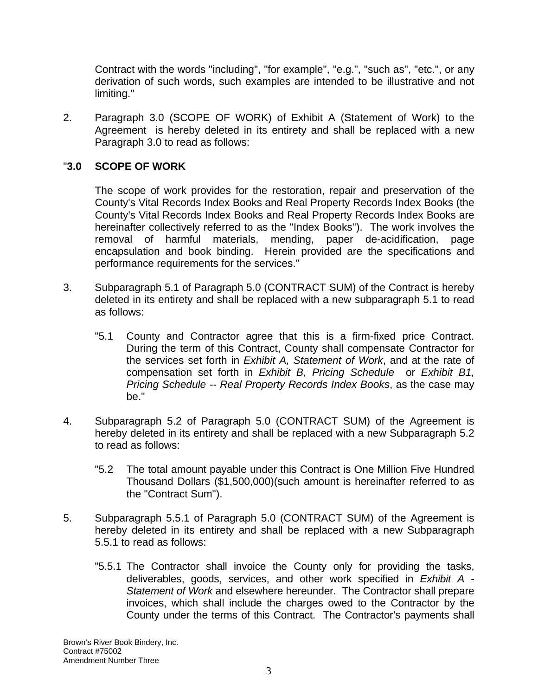Contract with the words "including", "for example", "e.g.", "such as", "etc.", or any derivation of such words, such examples are intended to be illustrative and not limiting."

2. Paragraph 3.0 (SCOPE OF WORK) of Exhibit A (Statement of Work) to the Agreement is hereby deleted in its entirety and shall be replaced with a new Paragraph 3.0 to read as follows:

# "**3.0 SCOPE OF WORK**

The scope of work provides for the restoration, repair and preservation of the County's Vital Records Index Books and Real Property Records Index Books (the County's Vital Records Index Books and Real Property Records Index Books are hereinafter collectively referred to as the "Index Books"). The work involves the removal of harmful materials, mending, paper de-acidification, page encapsulation and book binding. Herein provided are the specifications and performance requirements for the services."

- 3. Subparagraph 5.1 of Paragraph 5.0 (CONTRACT SUM) of the Contract is hereby deleted in its entirety and shall be replaced with a new subparagraph 5.1 to read as follows:
	- "5.1 County and Contractor agree that this is a firm-fixed price Contract. During the term of this Contract, County shall compensate Contractor for the services set forth in *Exhibit A, Statement of Work*, and at the rate of compensation set forth in *Exhibit B, Pricing Schedule* or *Exhibit B1, Pricing Schedule -- Real Property Records Index Books*, as the case may be."
- 4. Subparagraph 5.2 of Paragraph 5.0 (CONTRACT SUM) of the Agreement is hereby deleted in its entirety and shall be replaced with a new Subparagraph 5.2 to read as follows:
	- "5.2 The total amount payable under this Contract is One Million Five Hundred Thousand Dollars (\$1,500,000)(such amount is hereinafter referred to as the "Contract Sum").
- 5. Subparagraph 5.5.1 of Paragraph 5.0 (CONTRACT SUM) of the Agreement is hereby deleted in its entirety and shall be replaced with a new Subparagraph 5.5.1 to read as follows:
	- "5.5.1 The Contractor shall invoice the County only for providing the tasks, deliverables, goods, services, and other work specified in *Exhibit A - Statement of Work* and elsewhere hereunder. The Contractor shall prepare invoices, which shall include the charges owed to the Contractor by the County under the terms of this Contract. The Contractor's payments shall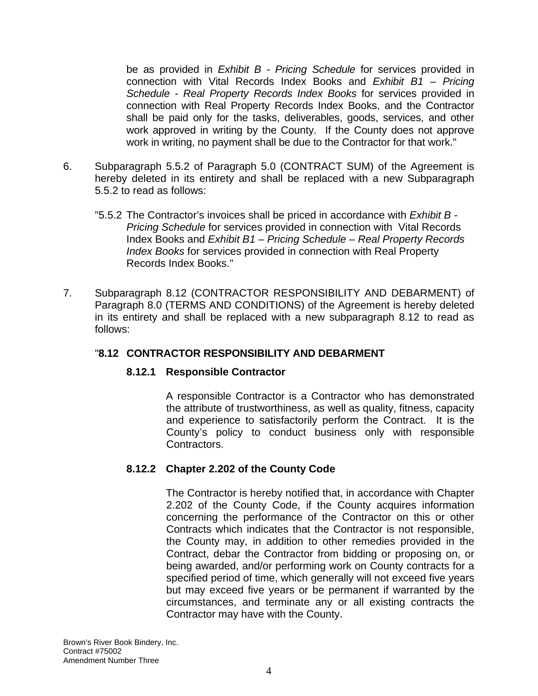be as provided in *Exhibit B - Pricing Schedule* for services provided in connection with Vital Records Index Books and *Exhibit B1* – *Pricing Schedule - Real Property Records Index Books* for services provided in connection with Real Property Records Index Books, and the Contractor shall be paid only for the tasks, deliverables, goods, services, and other work approved in writing by the County. If the County does not approve work in writing, no payment shall be due to the Contractor for that work."

- 6. Subparagraph 5.5.2 of Paragraph 5.0 (CONTRACT SUM) of the Agreement is hereby deleted in its entirety and shall be replaced with a new Subparagraph 5.5.2 to read as follows:
	- "5.5.2 The Contractor's invoices shall be priced in accordance with *Exhibit B Pricing Schedule* for services provided in connection with Vital Records Index Books and *Exhibit B1* – *Pricing Schedule – Real Property Records Index Books* for services provided in connection with Real Property Records Index Books."
- 7. Subparagraph 8.12 (CONTRACTOR RESPONSIBILITY AND DEBARMENT) of Paragraph 8.0 (TERMS AND CONDITIONS) of the Agreement is hereby deleted in its entirety and shall be replaced with a new subparagraph 8.12 to read as follows:

### "**8.12 CONTRACTOR RESPONSIBILITY AND DEBARMENT**

### **8.12.1 Responsible Contractor**

 A responsible Contractor is a Contractor who has demonstrated the attribute of trustworthiness, as well as quality, fitness, capacity and experience to satisfactorily perform the Contract. It is the County's policy to conduct business only with responsible Contractors.

# **8.12.2 Chapter 2.202 of the County Code**

 The Contractor is hereby notified that, in accordance with Chapter 2.202 of the County Code, if the County acquires information concerning the performance of the Contractor on this or other Contracts which indicates that the Contractor is not responsible, the County may, in addition to other remedies provided in the Contract, debar the Contractor from bidding or proposing on, or being awarded, and/or performing work on County contracts for a specified period of time, which generally will not exceed five years but may exceed five years or be permanent if warranted by the circumstances, and terminate any or all existing contracts the Contractor may have with the County.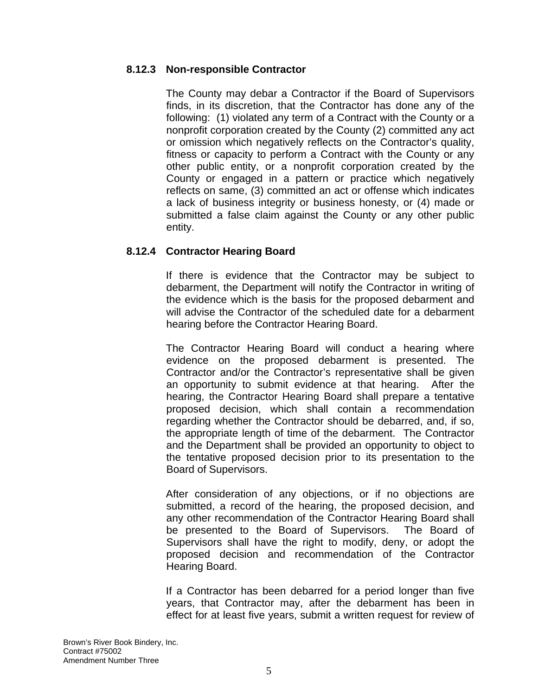### **8.12.3 Non-responsible Contractor**

 The County may debar a Contractor if the Board of Supervisors finds, in its discretion, that the Contractor has done any of the following: (1) violated any term of a Contract with the County or a nonprofit corporation created by the County (2) committed any act or omission which negatively reflects on the Contractor's quality, fitness or capacity to perform a Contract with the County or any other public entity, or a nonprofit corporation created by the County or engaged in a pattern or practice which negatively reflects on same, (3) committed an act or offense which indicates a lack of business integrity or business honesty, or (4) made or submitted a false claim against the County or any other public entity.

# **8.12.4 Contractor Hearing Board**

 If there is evidence that the Contractor may be subject to debarment, the Department will notify the Contractor in writing of the evidence which is the basis for the proposed debarment and will advise the Contractor of the scheduled date for a debarment hearing before the Contractor Hearing Board.

 The Contractor Hearing Board will conduct a hearing where evidence on the proposed debarment is presented. The Contractor and/or the Contractor's representative shall be given an opportunity to submit evidence at that hearing. After the hearing, the Contractor Hearing Board shall prepare a tentative proposed decision, which shall contain a recommendation regarding whether the Contractor should be debarred, and, if so, the appropriate length of time of the debarment. The Contractor and the Department shall be provided an opportunity to object to the tentative proposed decision prior to its presentation to the Board of Supervisors.

 After consideration of any objections, or if no objections are submitted, a record of the hearing, the proposed decision, and any other recommendation of the Contractor Hearing Board shall be presented to the Board of Supervisors. The Board of Supervisors shall have the right to modify, deny, or adopt the proposed decision and recommendation of the Contractor Hearing Board.

 If a Contractor has been debarred for a period longer than five years, that Contractor may, after the debarment has been in effect for at least five years, submit a written request for review of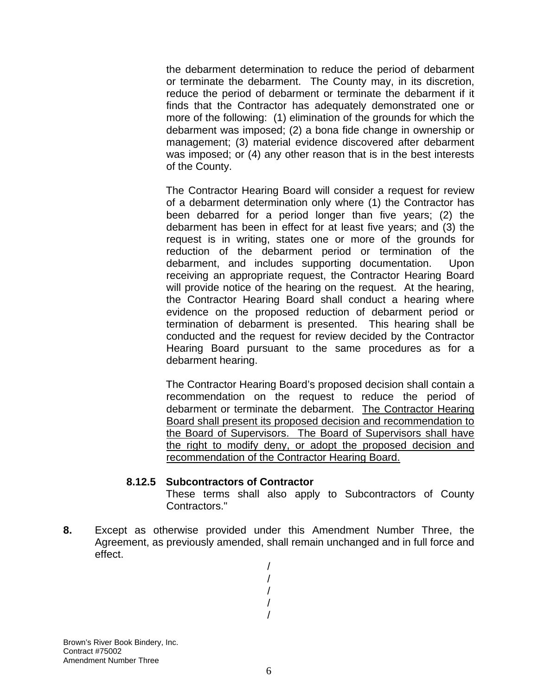the debarment determination to reduce the period of debarment or terminate the debarment. The County may, in its discretion, reduce the period of debarment or terminate the debarment if it finds that the Contractor has adequately demonstrated one or more of the following: (1) elimination of the grounds for which the debarment was imposed; (2) a bona fide change in ownership or management; (3) material evidence discovered after debarment was imposed; or (4) any other reason that is in the best interests of the County.

 The Contractor Hearing Board will consider a request for review of a debarment determination only where (1) the Contractor has been debarred for a period longer than five years; (2) the debarment has been in effect for at least five years; and (3) the request is in writing, states one or more of the grounds for reduction of the debarment period or termination of the debarment, and includes supporting documentation. Upon receiving an appropriate request, the Contractor Hearing Board will provide notice of the hearing on the request. At the hearing, the Contractor Hearing Board shall conduct a hearing where evidence on the proposed reduction of debarment period or termination of debarment is presented. This hearing shall be conducted and the request for review decided by the Contractor Hearing Board pursuant to the same procedures as for a debarment hearing.

 The Contractor Hearing Board's proposed decision shall contain a recommendation on the request to reduce the period of debarment or terminate the debarment. The Contractor Hearing Board shall present its proposed decision and recommendation to the Board of Supervisors. The Board of Supervisors shall have the right to modify deny, or adopt the proposed decision and recommendation of the Contractor Hearing Board.

### **8.12.5 Subcontractors of Contractor**

 These terms shall also apply to Subcontractors of County Contractors."

**8.** Except as otherwise provided under this Amendment Number Three, the Agreement, as previously amended, shall remain unchanged and in full force and effect.

> / / / / /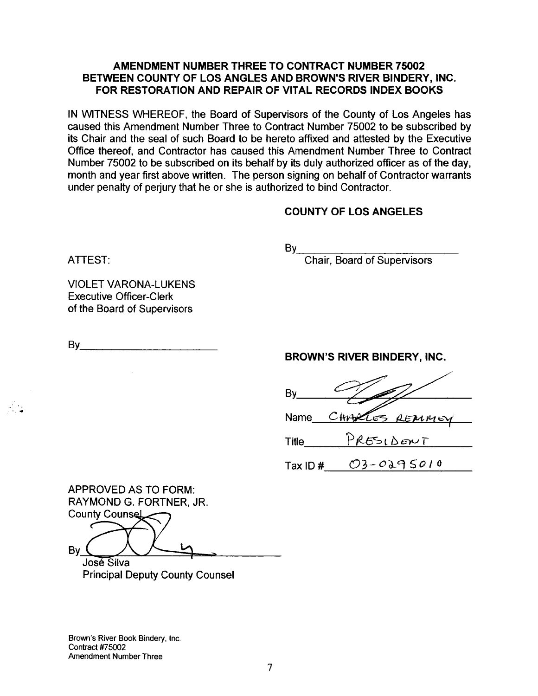### AMENDMENT NUMBER THREE TO CONTRACT NUMBER 75002 BETWEEN COUNTY OF LOS ANGLES AND BROWN'S RIVER BINDERY, INC. FOR RESTORATION AND REPAIR OF VITAL RECORDS INDEX BOOKS

IN WITNESS WHEREOF, the Board of Supervisors of the County of Los Angeles has caused this Amendment Number Three to Contract Number 75002 to be subscribed by its Chair and the seal of such Board to be hereto affixed and attested by the Executive Office thereof, and Contractor has caused this Amendment Number Three to Contract Number 75002 to be subscribed on its behalf by its duly authorized officer as of the day, month and year first above written. The person signing on behalf of Contractor warrants under penalty of perjury that he or she is authorized to bind Contractor.

### **COUNTY OF LOS ANGELES**

ATTEST:

 $By_$ 

**Chair, Board of Supervisors** 

**VIOLET VARONA-LUKENS Executive Officer-Clerk** of the Board of Supervisors

By the control of the control of the control of the control of the control of the control of the control of the

### BROWN'S RIVER BINDERY, INC.

Bv CHANCES REMME Name PRESIDENT **Title** 

 $TaxID#$   $O3-O295010$ 

**APPROVED AS TO FORM:** RAYMOND G. FORTNER, JR. **County Counsel** 

By ( José Silva

**Principal Deputy County Counsel** 

Brown's River Book Bindery, Inc. **Contract #75002** Amendment Number Three